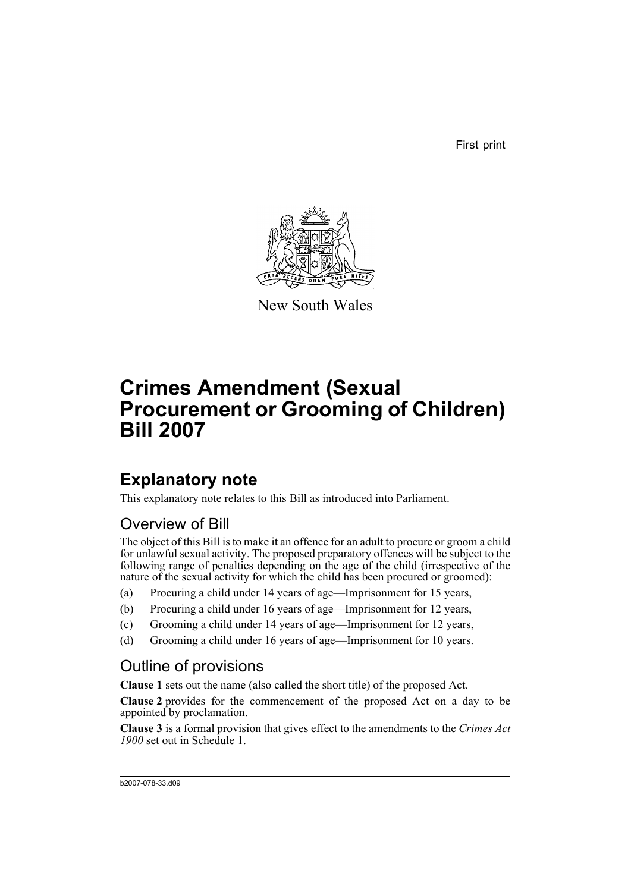First print



New South Wales

# **Crimes Amendment (Sexual Procurement or Grooming of Children) Bill 2007**

## **Explanatory note**

This explanatory note relates to this Bill as introduced into Parliament.

## Overview of Bill

The object of this Bill is to make it an offence for an adult to procure or groom a child for unlawful sexual activity. The proposed preparatory offences will be subject to the following range of penalties depending on the age of the child (irrespective of the nature of the sexual activity for which the child has been procured or groomed):

- (a) Procuring a child under 14 years of age—Imprisonment for 15 years,
- (b) Procuring a child under 16 years of age—Imprisonment for 12 years,
- (c) Grooming a child under 14 years of age—Imprisonment for 12 years,
- (d) Grooming a child under 16 years of age—Imprisonment for 10 years.

## Outline of provisions

**Clause 1** sets out the name (also called the short title) of the proposed Act.

**Clause 2** provides for the commencement of the proposed Act on a day to be appointed by proclamation.

**Clause 3** is a formal provision that gives effect to the amendments to the *Crimes Act 1900* set out in Schedule 1.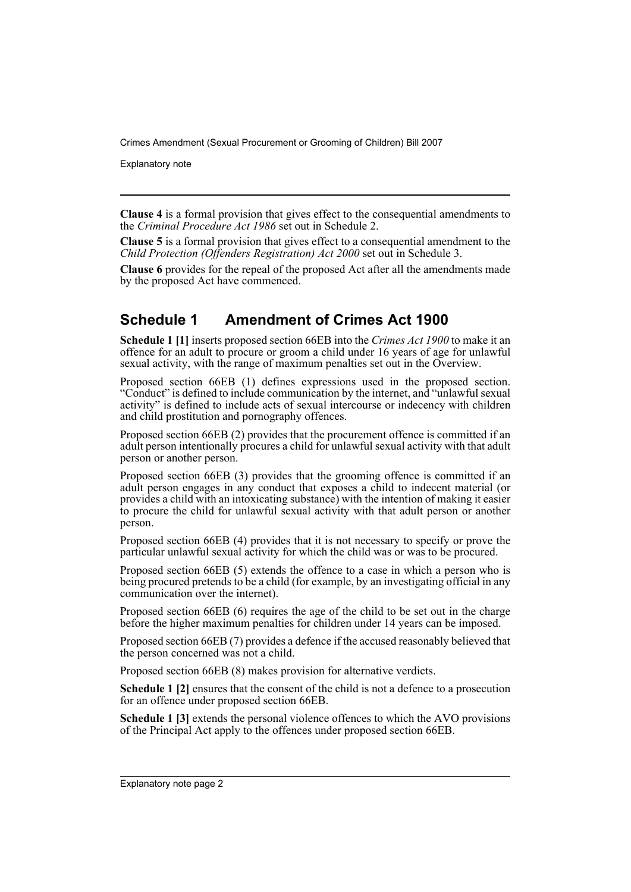Explanatory note

**Clause 4** is a formal provision that gives effect to the consequential amendments to the *Criminal Procedure Act 1986* set out in Schedule 2.

**Clause 5** is a formal provision that gives effect to a consequential amendment to the *Child Protection (Offenders Registration) Act 2000* set out in Schedule 3.

**Clause 6** provides for the repeal of the proposed Act after all the amendments made by the proposed Act have commenced.

### **Schedule 1 Amendment of Crimes Act 1900**

**Schedule 1 [1]** inserts proposed section 66EB into the *Crimes Act 1900* to make it an offence for an adult to procure or groom a child under 16 years of age for unlawful sexual activity, with the range of maximum penalties set out in the Overview.

Proposed section 66EB (1) defines expressions used in the proposed section. "Conduct" is defined to include communication by the internet, and "unlawful sexual activity" is defined to include acts of sexual intercourse or indecency with children and child prostitution and pornography offences.

Proposed section 66EB (2) provides that the procurement offence is committed if an adult person intentionally procures a child for unlawful sexual activity with that adult person or another person.

Proposed section 66EB (3) provides that the grooming offence is committed if an adult person engages in any conduct that exposes a child to indecent material (or provides a child with an intoxicating substance) with the intention of making it easier to procure the child for unlawful sexual activity with that adult person or another person.

Proposed section 66EB (4) provides that it is not necessary to specify or prove the particular unlawful sexual activity for which the child was or was to be procured.

Proposed section 66EB (5) extends the offence to a case in which a person who is being procured pretends to be a child (for example, by an investigating official in any communication over the internet).

Proposed section 66EB (6) requires the age of the child to be set out in the charge before the higher maximum penalties for children under 14 years can be imposed.

Proposed section 66EB (7) provides a defence if the accused reasonably believed that the person concerned was not a child.

Proposed section 66EB (8) makes provision for alternative verdicts.

**Schedule 1 [2]** ensures that the consent of the child is not a defence to a prosecution for an offence under proposed section 66EB.

**Schedule 1 [3]** extends the personal violence offences to which the AVO provisions of the Principal Act apply to the offences under proposed section 66EB.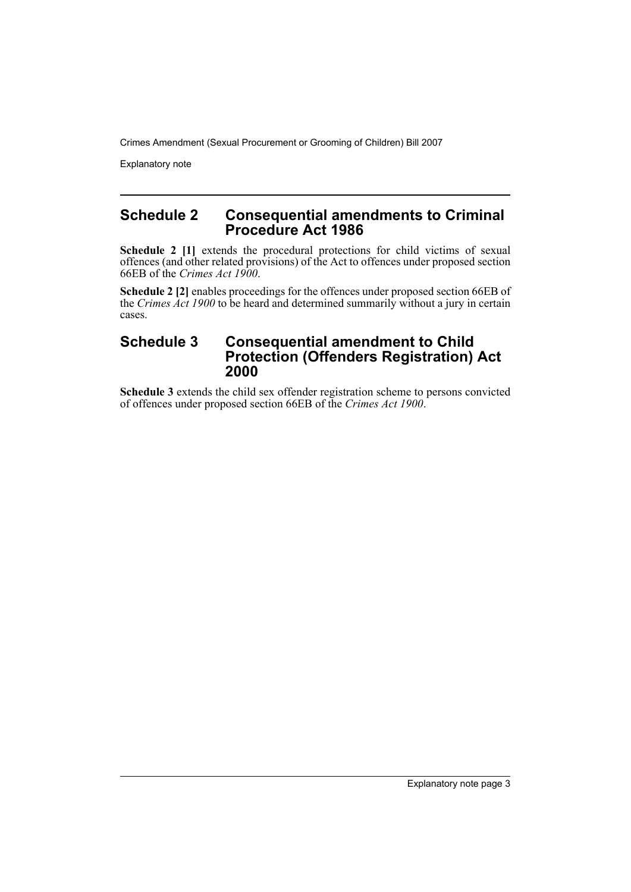Explanatory note

#### **Schedule 2 Consequential amendments to Criminal Procedure Act 1986**

**Schedule 2** [1] extends the procedural protections for child victims of sexual offences (and other related provisions) of the Act to offences under proposed section 66EB of the *Crimes Act 1900*.

**Schedule 2 [2]** enables proceedings for the offences under proposed section 66EB of the *Crimes Act 1900* to be heard and determined summarily without a jury in certain cases.

#### **Schedule 3 Consequential amendment to Child Protection (Offenders Registration) Act 2000**

**Schedule 3** extends the child sex offender registration scheme to persons convicted of offences under proposed section 66EB of the *Crimes Act 1900*.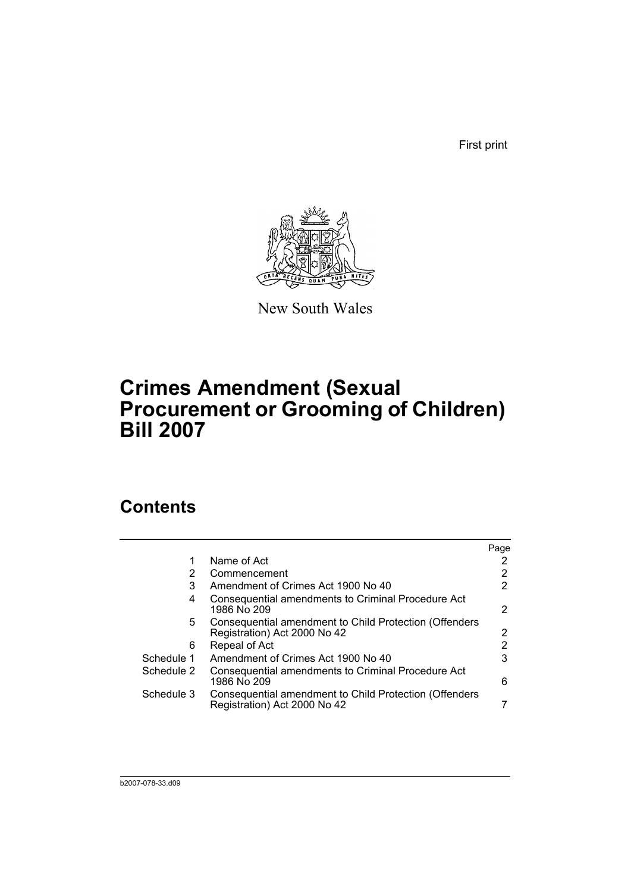First print



New South Wales

## **Crimes Amendment (Sexual Procurement or Grooming of Children) Bill 2007**

## **Contents**

|            |                                                                                        | Page |
|------------|----------------------------------------------------------------------------------------|------|
|            | Name of Act                                                                            |      |
| 2          | Commencement                                                                           |      |
| 3          | Amendment of Crimes Act 1900 No 40                                                     |      |
| 4          | Consequential amendments to Criminal Procedure Act<br>1986 No 209                      | 2    |
| 5.         | Consequential amendment to Child Protection (Offenders<br>Registration) Act 2000 No 42 | 2    |
| 6          | Repeal of Act                                                                          | 2    |
| Schedule 1 | Amendment of Crimes Act 1900 No 40                                                     | 3    |
| Schedule 2 | Consequential amendments to Criminal Procedure Act<br>1986 No 209                      | 6    |
| Schedule 3 | Consequential amendment to Child Protection (Offenders<br>Registration) Act 2000 No 42 |      |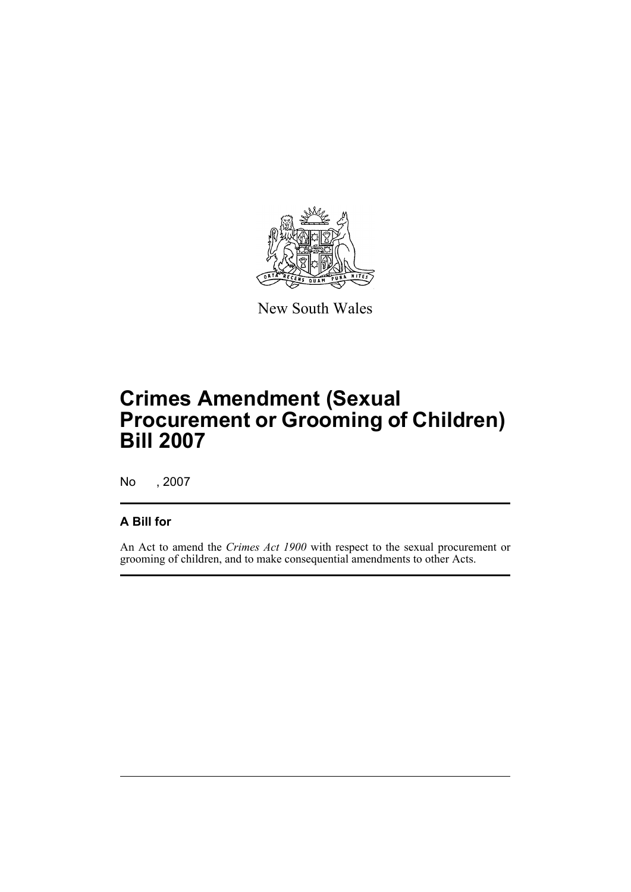

New South Wales

# **Crimes Amendment (Sexual Procurement or Grooming of Children) Bill 2007**

No , 2007

### **A Bill for**

An Act to amend the *Crimes Act 1900* with respect to the sexual procurement or grooming of children, and to make consequential amendments to other Acts.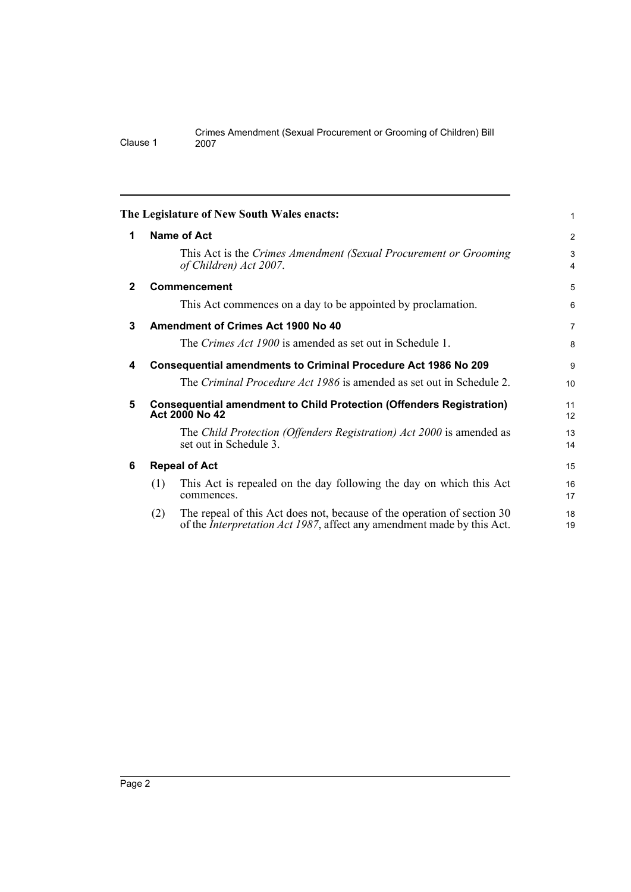<span id="page-7-5"></span><span id="page-7-4"></span><span id="page-7-3"></span><span id="page-7-2"></span><span id="page-7-1"></span><span id="page-7-0"></span>

|              | The Legislature of New South Wales enacts:                                                                                                                       | 1                   |  |
|--------------|------------------------------------------------------------------------------------------------------------------------------------------------------------------|---------------------|--|
| 1            | Name of Act                                                                                                                                                      | $\overline{2}$      |  |
|              | This Act is the Crimes Amendment (Sexual Procurement or Grooming<br>of Children) Act 2007.                                                                       | 3<br>$\overline{4}$ |  |
| $\mathbf{2}$ | <b>Commencement</b>                                                                                                                                              | 5                   |  |
|              | This Act commences on a day to be appointed by proclamation.                                                                                                     | 6                   |  |
| 3            | Amendment of Crimes Act 1900 No 40                                                                                                                               | $\overline{7}$      |  |
|              | The Crimes Act 1900 is amended as set out in Schedule 1.                                                                                                         | 8                   |  |
| 4            | Consequential amendments to Criminal Procedure Act 1986 No 209                                                                                                   | 9                   |  |
|              | The Criminal Procedure Act 1986 is amended as set out in Schedule 2.                                                                                             | 10                  |  |
| 5            | <b>Consequential amendment to Child Protection (Offenders Registration)</b><br>Act 2000 No 42                                                                    |                     |  |
|              | The Child Protection (Offenders Registration) Act 2000 is amended as<br>set out in Schedule 3.                                                                   | 13<br>14            |  |
| 6            | <b>Repeal of Act</b>                                                                                                                                             |                     |  |
|              | This Act is repealed on the day following the day on which this Act<br>(1)<br>commences.                                                                         | 16<br>17            |  |
|              | The repeal of this Act does not, because of the operation of section 30<br>(2)<br>of the <i>Interpretation Act 1987</i> , affect any amendment made by this Act. | 18<br>19            |  |
|              |                                                                                                                                                                  |                     |  |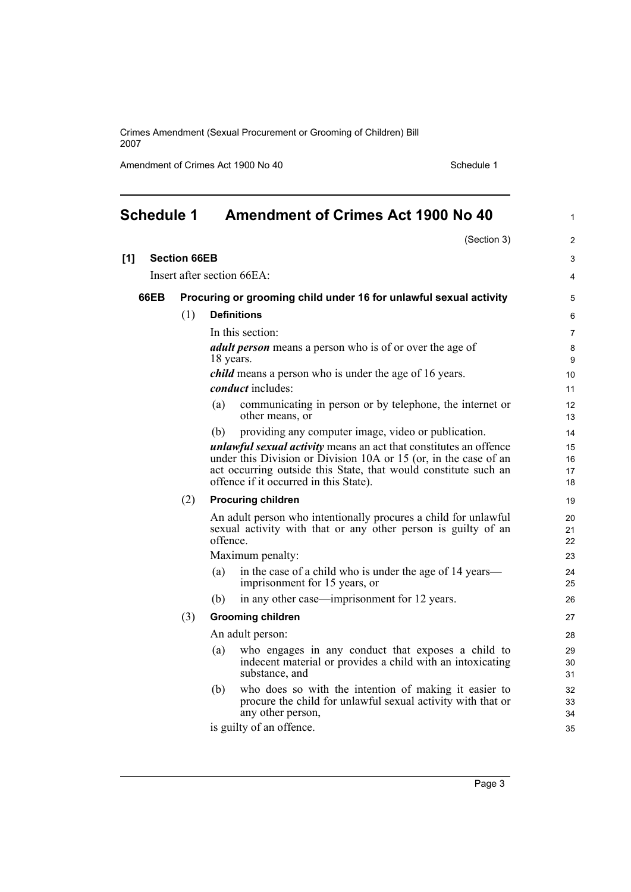Amendment of Crimes Act 1900 No 40 Schedule 1

(Section 3)

1

2

<span id="page-8-0"></span>

| <b>Schedule 1</b> | <b>Amendment of Crimes Act 1900 No 40</b> |  |
|-------------------|-------------------------------------------|--|
|                   |                                           |  |

| [1] |             | <b>Section 66EB</b> |                                                                                                                                                                                                                                                           | 3                     |
|-----|-------------|---------------------|-----------------------------------------------------------------------------------------------------------------------------------------------------------------------------------------------------------------------------------------------------------|-----------------------|
|     |             |                     | Insert after section 66EA:                                                                                                                                                                                                                                | 4                     |
|     | <b>66EB</b> |                     | Procuring or grooming child under 16 for unlawful sexual activity                                                                                                                                                                                         | 5                     |
|     |             | (1)                 | <b>Definitions</b>                                                                                                                                                                                                                                        | 6                     |
|     |             |                     | In this section:                                                                                                                                                                                                                                          | $\overline{7}$        |
|     |             |                     | <i>adult person</i> means a person who is of or over the age of<br>18 years.                                                                                                                                                                              | 8<br>$\boldsymbol{9}$ |
|     |             |                     | <i>child</i> means a person who is under the age of 16 years.                                                                                                                                                                                             | 10                    |
|     |             |                     | <i>conduct</i> includes:                                                                                                                                                                                                                                  | 11                    |
|     |             |                     | communicating in person or by telephone, the internet or<br>(a)<br>other means, or                                                                                                                                                                        | 12<br>13              |
|     |             |                     | providing any computer image, video or publication.<br>(b)                                                                                                                                                                                                | 14                    |
|     |             |                     | <i>unlawful sexual activity</i> means an act that constitutes an offence<br>under this Division or Division 10A or 15 (or, in the case of an<br>act occurring outside this State, that would constitute such an<br>offence if it occurred in this State). | 15<br>16<br>17<br>18  |
|     |             | (2)                 | <b>Procuring children</b>                                                                                                                                                                                                                                 | 19                    |
|     |             |                     | An adult person who intentionally procures a child for unlawful<br>sexual activity with that or any other person is guilty of an<br>offence.                                                                                                              | 20<br>21<br>22        |
|     |             |                     | Maximum penalty:                                                                                                                                                                                                                                          | 23                    |
|     |             |                     | in the case of a child who is under the age of 14 years—<br>(a)<br>imprisonment for 15 years, or                                                                                                                                                          | 24<br>25              |
|     |             |                     | (b)<br>in any other case—imprisonment for 12 years.                                                                                                                                                                                                       | 26                    |
|     |             | (3)                 | <b>Grooming children</b>                                                                                                                                                                                                                                  | 27                    |
|     |             |                     | An adult person:                                                                                                                                                                                                                                          | 28                    |
|     |             |                     | who engages in any conduct that exposes a child to<br>(a)<br>indecent material or provides a child with an intoxicating<br>substance, and                                                                                                                 | 29<br>30<br>31        |
|     |             |                     | who does so with the intention of making it easier to<br>(b)<br>procure the child for unlawful sexual activity with that or<br>any other person,                                                                                                          | 32<br>33<br>34        |
|     |             |                     | is guilty of an offence.                                                                                                                                                                                                                                  | 35                    |
|     |             |                     |                                                                                                                                                                                                                                                           |                       |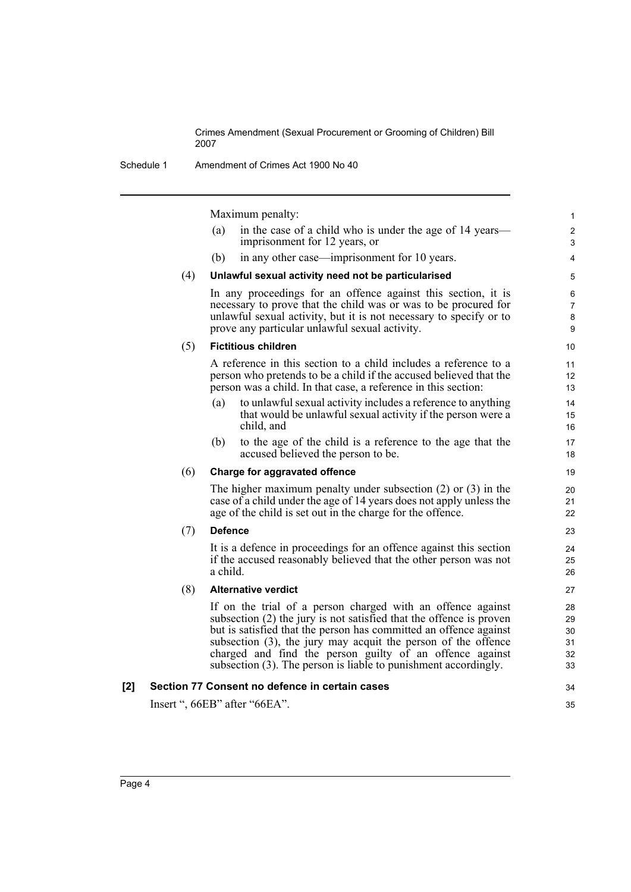Schedule 1 Amendment of Crimes Act 1900 No 40

Maximum penalty:

|     |     |                | Maximum penalty:                                                                                                                                                                                                                                                                                                                                                                                           | $\mathbf{1}$                     |
|-----|-----|----------------|------------------------------------------------------------------------------------------------------------------------------------------------------------------------------------------------------------------------------------------------------------------------------------------------------------------------------------------------------------------------------------------------------------|----------------------------------|
|     |     | (a)            | in the case of a child who is under the age of 14 years—<br>imprisonment for 12 years, or                                                                                                                                                                                                                                                                                                                  | $\overline{c}$<br>$\mathsf 3$    |
|     |     | (b)            | in any other case—imprisonment for 10 years.                                                                                                                                                                                                                                                                                                                                                               | $\overline{4}$                   |
|     | (4) |                | Unlawful sexual activity need not be particularised                                                                                                                                                                                                                                                                                                                                                        | 5                                |
|     |     |                | In any proceedings for an offence against this section, it is<br>necessary to prove that the child was or was to be procured for<br>unlawful sexual activity, but it is not necessary to specify or to<br>prove any particular unlawful sexual activity.                                                                                                                                                   | 6<br>7<br>8<br>9                 |
|     | (5) |                | <b>Fictitious children</b>                                                                                                                                                                                                                                                                                                                                                                                 | 10                               |
|     |     |                | A reference in this section to a child includes a reference to a<br>person who pretends to be a child if the accused believed that the<br>person was a child. In that case, a reference in this section:                                                                                                                                                                                                   | 11<br>12<br>13                   |
|     |     | (a)            | to unlawful sexual activity includes a reference to anything<br>that would be unlawful sexual activity if the person were a<br>child, and                                                                                                                                                                                                                                                                  | 14<br>15<br>16                   |
|     |     | (b)            | to the age of the child is a reference to the age that the<br>accused believed the person to be.                                                                                                                                                                                                                                                                                                           | 17<br>18                         |
|     | (6) |                | Charge for aggravated offence                                                                                                                                                                                                                                                                                                                                                                              | 19                               |
|     |     |                | The higher maximum penalty under subsection $(2)$ or $(3)$ in the<br>case of a child under the age of 14 years does not apply unless the<br>age of the child is set out in the charge for the offence.                                                                                                                                                                                                     | 20<br>21<br>22                   |
|     | (7) | <b>Defence</b> |                                                                                                                                                                                                                                                                                                                                                                                                            | 23                               |
|     |     | a child.       | It is a defence in proceedings for an offence against this section<br>if the accused reasonably believed that the other person was not                                                                                                                                                                                                                                                                     | 24<br>25<br>26                   |
|     | (8) |                | <b>Alternative verdict</b>                                                                                                                                                                                                                                                                                                                                                                                 | 27                               |
|     |     |                | If on the trial of a person charged with an offence against<br>subsection (2) the jury is not satisfied that the offence is proven<br>but is satisfied that the person has committed an offence against<br>subsection $(3)$ , the jury may acquit the person of the offence<br>charged and find the person guilty of an offence against<br>subsection (3). The person is liable to punishment accordingly. | 28<br>29<br>30<br>31<br>32<br>33 |
| [2] |     |                | Section 77 Consent no defence in certain cases                                                                                                                                                                                                                                                                                                                                                             | 34                               |
|     |     |                | Insert ", 66EB" after "66EA".                                                                                                                                                                                                                                                                                                                                                                              | 35                               |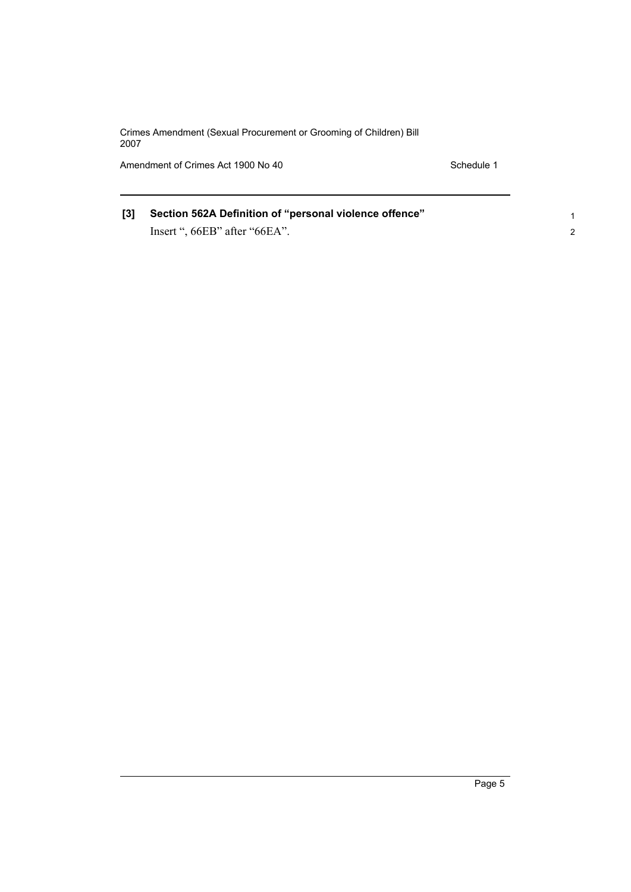Amendment of Crimes Act 1900 No 40 Schedule 1

1 2

### **[3] Section 562A Definition of "personal violence offence"** Insert ", 66EB" after "66EA".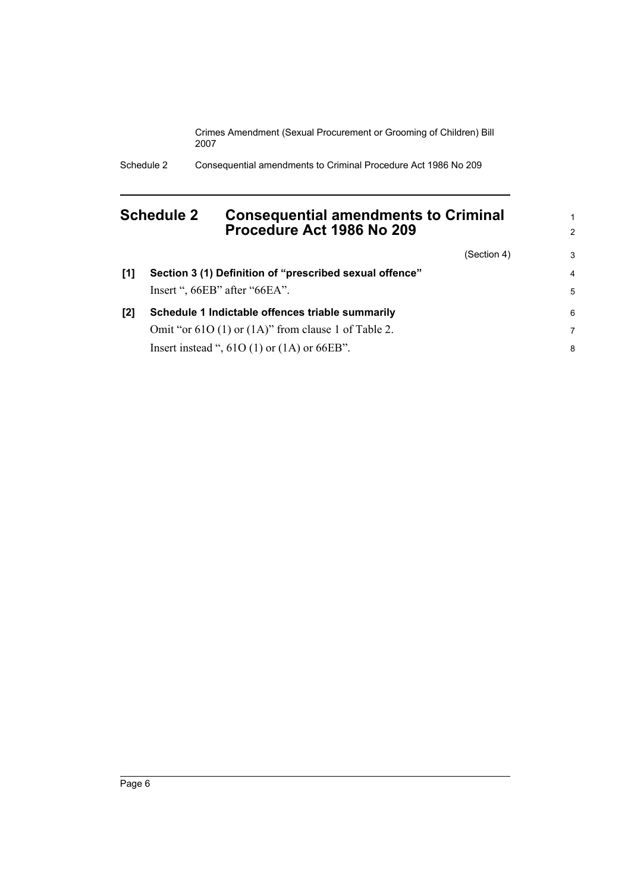Schedule 2 Consequential amendments to Criminal Procedure Act 1986 No 209

### <span id="page-11-0"></span>**Schedule 2 Consequential amendments to Criminal Procedure Act 1986 No 209**

(Section 4)

1 2

3

| [1] | Section 3 (1) Definition of "prescribed sexual offence"                           | 4      |
|-----|-----------------------------------------------------------------------------------|--------|
| [2] | Insert ", 66EB" after "66EA".<br>Schedule 1 Indictable offences triable summarily | 5<br>6 |
|     | Omit "or $610(1)$ or $(1A)$ " from clause 1 of Table 2.                           | 7      |
|     | Insert instead ", $61O(1)$ or $(1A)$ or $66EB$ ".                                 | 8      |